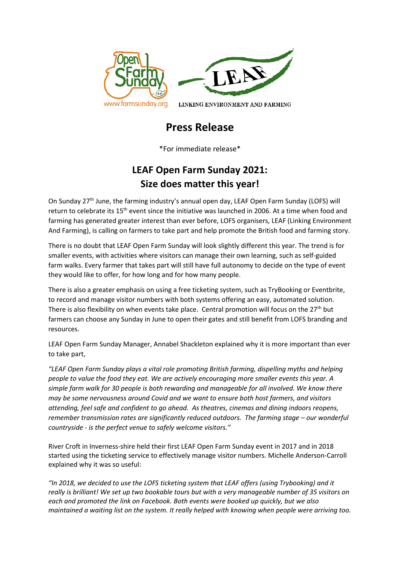

# **Press Release**

\*For immediate release\*

# **LEAF Open Farm Sunday 2021: Size does matter this year!**

On Sunday 27th June, the farming industry's annual open day, LEAF Open Farm Sunday (LOFS) will return to celebrate its 15<sup>th</sup> event since the initiative was launched in 2006. At a time when food and farming has generated greater interest than ever before, LOFS organisers, LEAF (Linking Environment And Farming), is calling on farmers to take part and help promote the British food and farming story.

There is no doubt that LEAF Open Farm Sunday will look slightly different this year. The trend is for smaller events, with activities where visitors can manage their own learning, such as self-guided farm walks. Every farmer that takes part will still have full autonomy to decide on the type of event they would like to offer, for how long and for how many people.

There is also a greater emphasis on using a free ticketing system, such as TryBooking or Eventbrite, to record and manage visitor numbers with both systems offering an easy, automated solution. There is also flexibility on when events take place. Central promotion will focus on the  $27<sup>th</sup>$  but farmers can choose any Sunday in June to open their gates and still benefit from LOFS branding and resources.

LEAF Open Farm Sunday Manager, Annabel Shackleton explained why it is more important than ever to take part,

*"LEAF Open Farm Sunday plays a vital role promoting British farming, dispelling myths and helping people to value the food they eat. We are actively encouraging more smaller events this year. A simple farm walk for 30 people is both rewarding and manageable for all involved. We know there may be some nervousness around Covid and we want to ensure both host farmers, and visitors attending, feel safe and confident to go ahead. As theatres, cinemas and dining indoors reopens, remember transmission rates are significantly reduced outdoors. The farming stage – our wonderful countryside - is the perfect venue to safely welcome visitors."*

River Croft in Inverness-shire held their first LEAF Open Farm Sunday event in 2017 and in 2018 started using the ticketing service to effectively manage visitor numbers. Michelle Anderson-Carroll explained why it was so useful:

*"In 2018, we decided to use the LOFS ticketing system that LEAF offers (using Trybooking) and it really is brilliant! We set up two bookable tours but with a very manageable number of 35 visitors on each and promoted the link on Facebook. Both events were booked up quickly, but we also maintained a waiting list on the system. It really helped with knowing when people were arriving too.*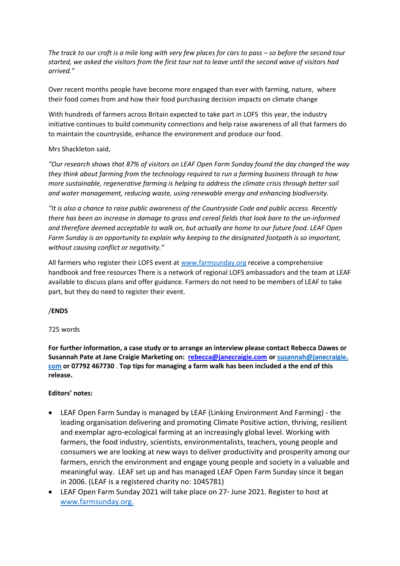*The track to our croft is a mile long with very few places for cars to pass – so before the second tour started, we asked the visitors from the first tour not to leave until the second wave of visitors had arrived."*

Over recent months people have become more engaged than ever with farming, nature, where their food comes from and how their food purchasing decision impacts on climate change

With hundreds of farmers across Britain expected to take part in LOFS this year, the industry initiative continues to build community connections and help raise awareness of all that farmers do to maintain the countryside, enhance the environment and produce our food.

### Mrs Shackleton said,

*"Our research shows that 87% of visitors on LEAF Open Farm Sunday found the day changed the way they think about farming from the technology required to run a farming business through to how more sustainable, regenerative farming is helping to address the climate crisis through better soil and water management, reducing waste, using renewable energy and enhancing biodiversity.*

*"It is also a chance to raise public awareness of the Countryside Code and public access. Recently there has been an increase in damage to grass and cereal fields that look bare to the un-informed and therefore deemed acceptable to walk on, but actually are home to our future food. LEAF Open Farm Sunday is an opportunity to explain why keeping to the designated footpath is so important, without causing conflict or negativity."*

All farmers who register their LOFS event a[t www.farmsunday.org](http://www.farmsunday.org/) receive a comprehensive handbook and free resources There is a network of regional LOFS ambassadors and the team at LEAF available to discuss plans and offer guidance. Farmers do not need to be members of LEAF to take part, but they do need to register their event.

### /**ENDS**

#### 725 words

**For further information, a case study or to arrange an interview please contact Rebecca Dawes or Susannah Pate at Jane Craigie Marketing on:  [rebecca@janecraigie.com](mailto:susannah@janecraigie.com) or [susannah@janecraigie.](mailto:susannah@​janecraigie.​com) [com](mailto:susannah@​janecraigie.​com) or 07792 467730** . **Top tips for managing a farm walk has been included a the end of this release.**

#### **Editors' notes:**

- LEAF Open Farm Sunday is managed by LEAF (Linking Environment And Farming) the leading organisation delivering and promoting Climate Positive action, thriving, resilient and exemplar agro-ecological farming at an increasingly global level. Working with farmers, the food industry, scientists, environmentalists, teachers, young people and consumers we are looking at new ways to deliver productivity and prosperity among our farmers, enrich the environment and engage young people and society in a valuable and meaningful way.  LEAF set up and has managed LEAF Open Farm Sunday since it began in 2006. (LEAF is a registered charity no: 1045781)
- LEAF Open Farm Sunday 2021 will take place on  $27<sup>*</sup>$  June 2021. Register to host at [www.farmsunday.org.](http://www.farmsunday.org/)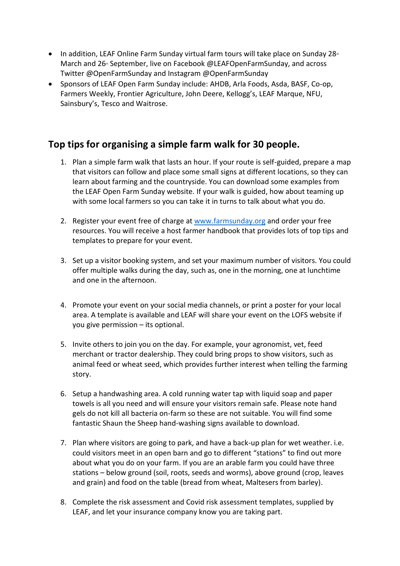- In addition, LEAF Online Farm Sunday virtual farm tours will take place on Sunday  $28<sup>th</sup>$ March and 26<sup>th</sup> September, live on Facebook @LEAFOpenFarmSunday, and across Twitter @OpenFarmSunday and Instagram @OpenFarmSunday
- Sponsors of LEAF Open Farm Sunday include: AHDB, Arla Foods, Asda, BASF, Co-op, Farmers Weekly, Frontier Agriculture, John Deere, Kellogg's, LEAF Marque, NFU, Sainsbury's, Tesco and Waitrose.

## **Top tips for organising a simple farm walk for 30 people.**

- 1. Plan a simple farm walk that lasts an hour. If your route is self-guided, prepare a map that visitors can follow and place some small signs at different locations, so they can learn about farming and the countryside. You can download some examples from the LEAF Open Farm Sunday website. If your walk is guided, how about teaming up with some local farmers so you can take it in turns to talk about what you do.
- 2. Register your event free of charge at [www.farmsunday.org](http://www.farmsunday.org/) and order your free resources. You will receive a host farmer handbook that provides lots of top tips and templates to prepare for your event.
- 3. Set up a visitor booking system, and set your maximum number of visitors. You could offer multiple walks during the day, such as, one in the morning, one at lunchtime and one in the afternoon.
- 4. Promote your event on your social media channels, or print a poster for your local area. A template is available and LEAF will share your event on the LOFS website if you give permission – its optional.
- 5. Invite others to join you on the day. For example, your agronomist, vet, feed merchant or tractor dealership. They could bring props to show visitors, such as animal feed or wheat seed, which provides further interest when telling the farming story.
- 6. Setup a handwashing area. A cold running water tap with liquid soap and paper towels is all you need and will ensure your visitors remain safe. Please note hand gels do not kill all bacteria on-farm so these are not suitable. You will find some fantastic Shaun the Sheep hand-washing signs available to download.
- 7. Plan where visitors are going to park, and have a back-up plan for wet weather. i.e. could visitors meet in an open barn and go to different "stations" to find out more about what you do on your farm. If you are an arable farm you could have three stations – below ground (soil, roots, seeds and worms), above ground (crop, leaves and grain) and food on the table (bread from wheat, Maltesers from barley).
- 8. Complete the risk assessment and Covid risk assessment templates, supplied by LEAF, and let your insurance company know you are taking part.